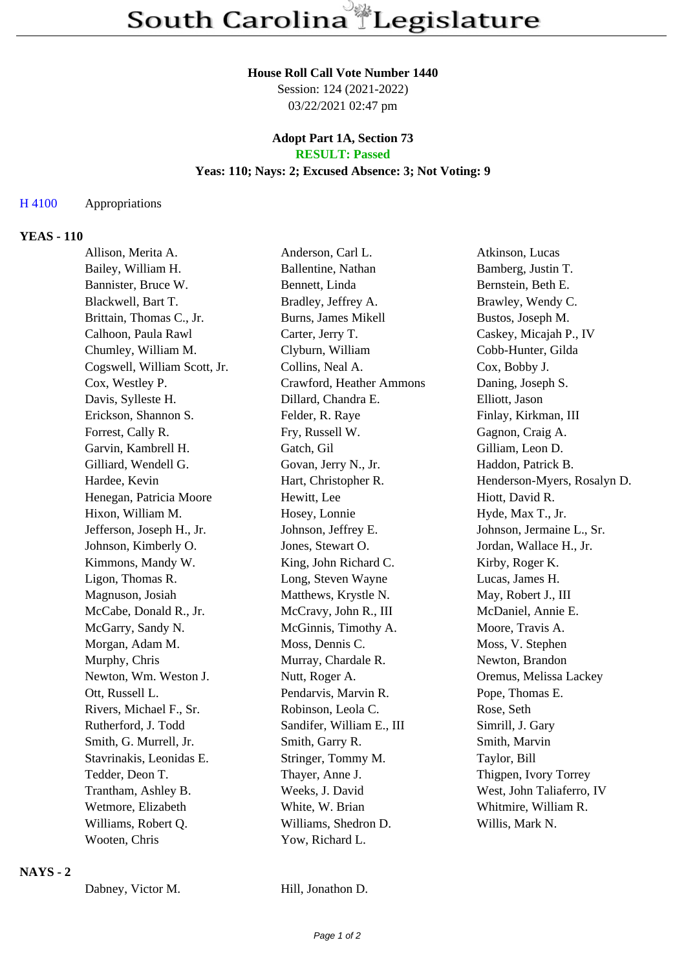#### **House Roll Call Vote Number 1440**

Session: 124 (2021-2022) 03/22/2021 02:47 pm

#### **Adopt Part 1A, Section 73 RESULT: Passed**

## **Yeas: 110; Nays: 2; Excused Absence: 3; Not Voting: 9**

#### H 4100 Appropriations

#### **YEAS - 110**

| Allison, Merita A.           | Anderson, Carl L.         | Atkinson, Lucas             |
|------------------------------|---------------------------|-----------------------------|
| Bailey, William H.           | Ballentine, Nathan        | Bamberg, Justin T.          |
| Bannister, Bruce W.          | Bennett, Linda            | Bernstein, Beth E.          |
| Blackwell, Bart T.           | Bradley, Jeffrey A.       | Brawley, Wendy C.           |
| Brittain, Thomas C., Jr.     | Burns, James Mikell       | Bustos, Joseph M.           |
| Calhoon, Paula Rawl          | Carter, Jerry T.          | Caskey, Micajah P., IV      |
| Chumley, William M.          | Clyburn, William          | Cobb-Hunter, Gilda          |
| Cogswell, William Scott, Jr. | Collins, Neal A.          | Cox, Bobby J.               |
| Cox, Westley P.              | Crawford, Heather Ammons  | Daning, Joseph S.           |
| Davis, Sylleste H.           | Dillard, Chandra E.       | Elliott, Jason              |
| Erickson, Shannon S.         | Felder, R. Raye           | Finlay, Kirkman, III        |
| Forrest, Cally R.            | Fry, Russell W.           | Gagnon, Craig A.            |
| Garvin, Kambrell H.          | Gatch, Gil                | Gilliam, Leon D.            |
| Gilliard, Wendell G.         | Govan, Jerry N., Jr.      | Haddon, Patrick B.          |
| Hardee, Kevin                | Hart, Christopher R.      | Henderson-Myers, Rosalyn D. |
| Henegan, Patricia Moore      | Hewitt, Lee               | Hiott, David R.             |
| Hixon, William M.            | Hosey, Lonnie             | Hyde, Max T., Jr.           |
| Jefferson, Joseph H., Jr.    | Johnson, Jeffrey E.       | Johnson, Jermaine L., Sr.   |
| Johnson, Kimberly O.         | Jones, Stewart O.         | Jordan, Wallace H., Jr.     |
| Kimmons, Mandy W.            | King, John Richard C.     | Kirby, Roger K.             |
| Ligon, Thomas R.             | Long, Steven Wayne        | Lucas, James H.             |
| Magnuson, Josiah             | Matthews, Krystle N.      | May, Robert J., III         |
| McCabe, Donald R., Jr.       | McCravy, John R., III     | McDaniel, Annie E.          |
| McGarry, Sandy N.            | McGinnis, Timothy A.      | Moore, Travis A.            |
| Morgan, Adam M.              | Moss, Dennis C.           | Moss, V. Stephen            |
| Murphy, Chris                | Murray, Chardale R.       | Newton, Brandon             |
| Newton, Wm. Weston J.        | Nutt, Roger A.            | Oremus, Melissa Lackey      |
| Ott, Russell L.              | Pendarvis, Marvin R.      | Pope, Thomas E.             |
| Rivers, Michael F., Sr.      | Robinson, Leola C.        | Rose, Seth                  |
| Rutherford, J. Todd          | Sandifer, William E., III | Simrill, J. Gary            |
| Smith, G. Murrell, Jr.       | Smith, Garry R.           | Smith, Marvin               |
| Stavrinakis, Leonidas E.     | Stringer, Tommy M.        | Taylor, Bill                |
| Tedder, Deon T.              | Thayer, Anne J.           | Thigpen, Ivory Torrey       |
| Trantham, Ashley B.          | Weeks, J. David           | West, John Taliaferro, IV   |
| Wetmore, Elizabeth           | White, W. Brian           | Whitmire, William R.        |
| Williams, Robert Q.          | Williams, Shedron D.      | Willis, Mark N.             |
| Wooten, Chris                | Yow, Richard L.           |                             |

## **NAYS - 2**

Dabney, Victor M. Hill, Jonathon D.